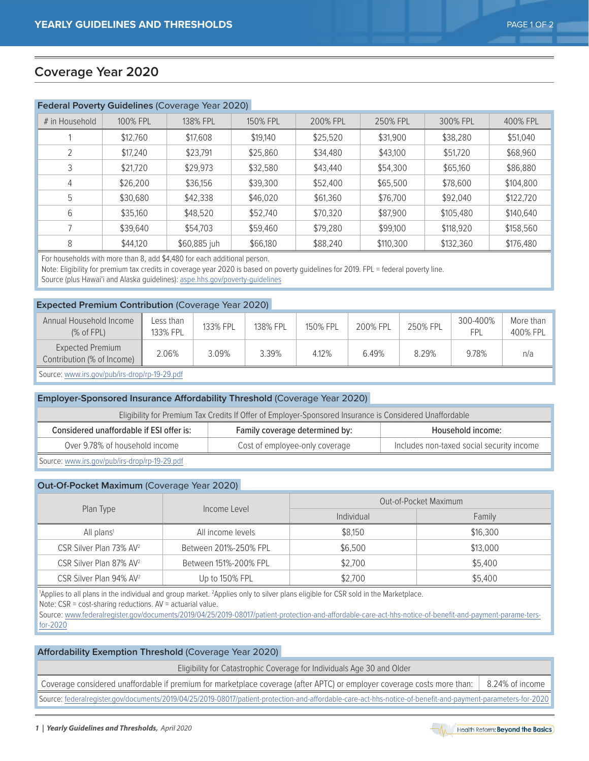# **Coverage Year 2020**

# **Federal Poverty Guidelines** (Coverage Year 2020)

| # in Household | 100% FPL | 138% FPL     | 150% FPL | 200% FPL | 250% FPL  | 300% FPL  | 400% FPL  |
|----------------|----------|--------------|----------|----------|-----------|-----------|-----------|
|                | \$12,760 | \$17,608     | \$19,140 | \$25,520 | \$31,900  | \$38,280  | \$51,040  |
|                | \$17,240 | \$23,791     | \$25,860 | \$34,480 | \$43,100  | \$51,720  | \$68,960  |
|                | \$21,720 | \$29,973     | \$32,580 | \$43,440 | \$54,300  | \$65,160  | \$86,880  |
| 4              | \$26,200 | \$36,156     | \$39,300 | \$52,400 | \$65,500  | \$78,600  | \$104,800 |
| 5              | \$30,680 | \$42,338     | \$46,020 | \$61,360 | \$76,700  | \$92,040  | \$122,720 |
| 6              | \$35,160 | \$48,520     | \$52,740 | \$70,320 | \$87,900  | \$105,480 | \$140,640 |
|                | \$39,640 | \$54,703     | \$59,460 | \$79,280 | \$99,100  | \$118,920 | \$158,560 |
| 8              | \$44,120 | \$60,885 juh | \$66,180 | \$88,240 | \$110,300 | \$132,360 | \$176,480 |

For households with more than 8, add \$4,480 for each additional person.

Note: Eligibility for premium tax credits in coverage year 2020 is based on poverty guidelines for 2019. FPL = federal poverty line.

Source (plus Hawai'i and Alaska guidelines): [aspe.hhs.gov/poverty-guidelines](https://aspe.hhs.gov/poverty-guidelines)

#### **Expected Premium Contribution** (Coverage Year 2020)

| Annual Household Income<br>(% of FPL)          | Less than<br>133% FPL | 133% FPL | 138% FPL | 150% FPI | 200% FPL | 250% FPL | 300-400%<br><b>FPI</b> | More than<br>400% FPL |
|------------------------------------------------|-----------------------|----------|----------|----------|----------|----------|------------------------|-----------------------|
| Expected Premium<br>Contribution (% of Income) | 2.06%                 | 3.09%    | 3.39%    | 4.12%    | 6.49%    | 8.29%    | 9.78%                  | n/a                   |
| Course: www.irs.gov/publise.drop/sp 10.20 pdf  |                       |          |          |          |          |          |                        |                       |

Source: www.irs.gov/pub/irs-drop/rp-19-29.pdf

## **Employer-Sponsored Insurance Affordability Threshold** (Coverage Year 2020)

| Eligibility for Premium Tax Credits If Offer of Employer-Sponsored Insurance is Considered Unaffordable |                                |                                           |  |  |  |  |  |  |
|---------------------------------------------------------------------------------------------------------|--------------------------------|-------------------------------------------|--|--|--|--|--|--|
| Considered unaffordable if ESI offer is:<br>Family coverage determined by:<br>Household income:         |                                |                                           |  |  |  |  |  |  |
| Over 9.78% of household income                                                                          | Cost of employee-only coverage | Includes non-taxed social security income |  |  |  |  |  |  |
| Source: www.irs.gov/pub/irs-drop/rp-19-29.pdf                                                           |                                |                                           |  |  |  |  |  |  |

## **Out-Of-Pocket Maximum** (Coverage Year 2020)

|                                             |                       | Out-of-Pocket Maximum |          |  |  |
|---------------------------------------------|-----------------------|-----------------------|----------|--|--|
| Plan Type                                   | Income Level          | Individual            | Family   |  |  |
| All income levels<br>All plans <sup>1</sup> |                       | \$8,150               | \$16,300 |  |  |
| CSR Silver Plan 73% AV <sup>2</sup>         | Between 201%-250% FPL | \$6,500               | \$13,000 |  |  |
| CSR Silver Plan 87% AV <sup>2</sup>         | Between 151%-200% FPL | \$2,700               | \$5,400  |  |  |
| CSR Silver Plan 94% AV <sup>2</sup>         | Up to 150% FPL        | \$2,700               | \$5,400  |  |  |

'Applies to all plans in the individual and group market. <sup>2</sup>Applies only to silver plans eligible for CSR sold in the Marketplace.

Note: CSR = cost-sharing reductions. AV = actuarial value.

Source: www.federalregister.gov/documents/2019/04/25/2019-08017/patient-protection-and-affordable-care-act-hhs-notice-of-benefit-and-payment-parame-tersfor-2020

#### **Affordability Exemption Threshold** (Coverage Year 2020)

Eligibility for Catastrophic Coverage for Individuals Age 30 and Older

Coverage considered unaffordable if premium for marketplace coverage (after APTC) or employer coverage costs more than: 8.24% of income

Source: [federalregister.gov/documents/2019/04/25/2019-08017/patient-protection-and-affordable-care-act-hhs-notice-of-benefit-and-payment-parameters-for-2020](https://www.federalregister.gov/documents/2019/04/25/2019-08017/patient-protection-and-affordable-care-act-hhs-notice-of-benefit-and-payment-parameters-for-2020)